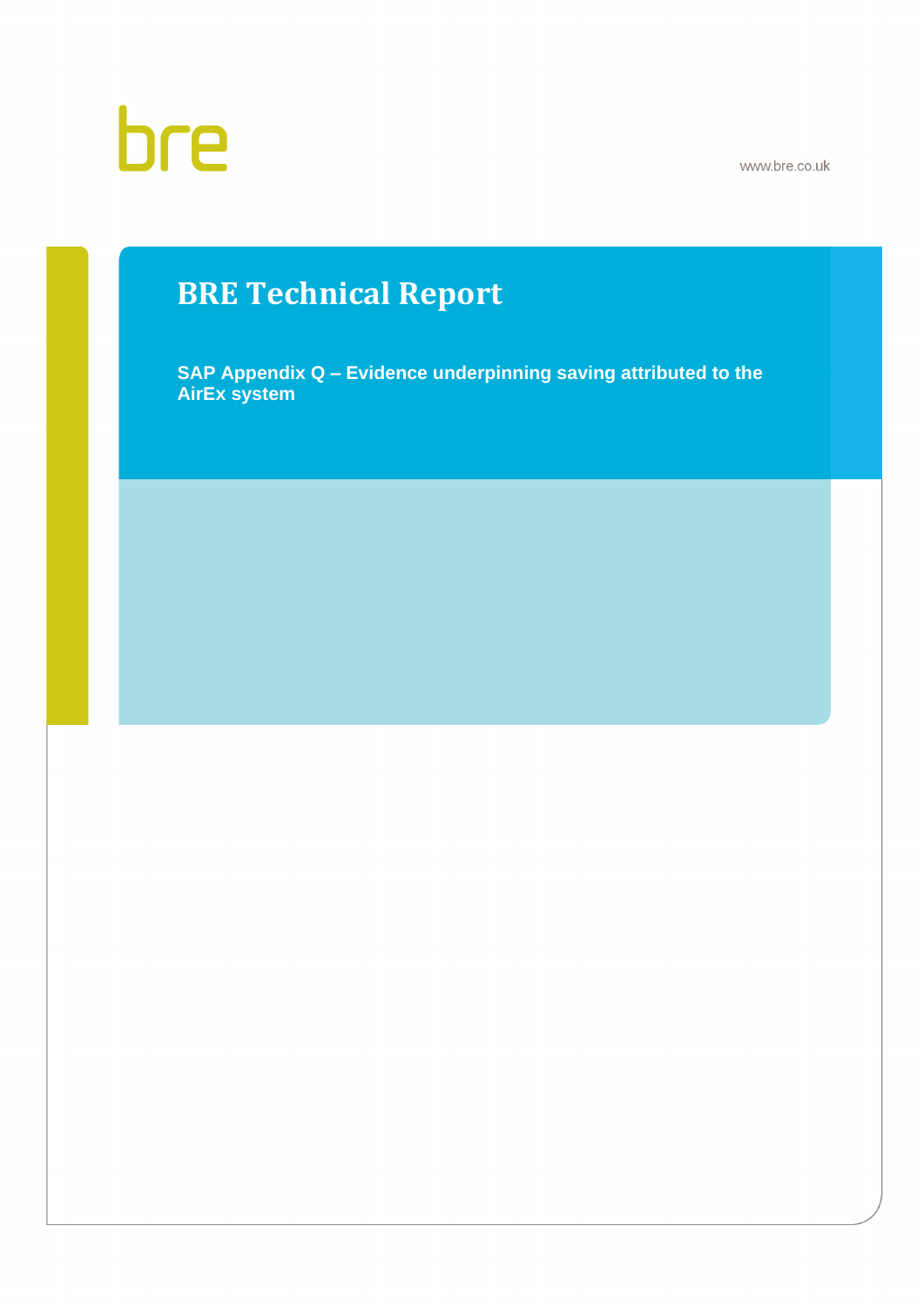www.bre.co.uk

# bre

## **BRE Technical Report**

**SAP Appendix Q – Evidence underpinning saving attributed to the AirEx system**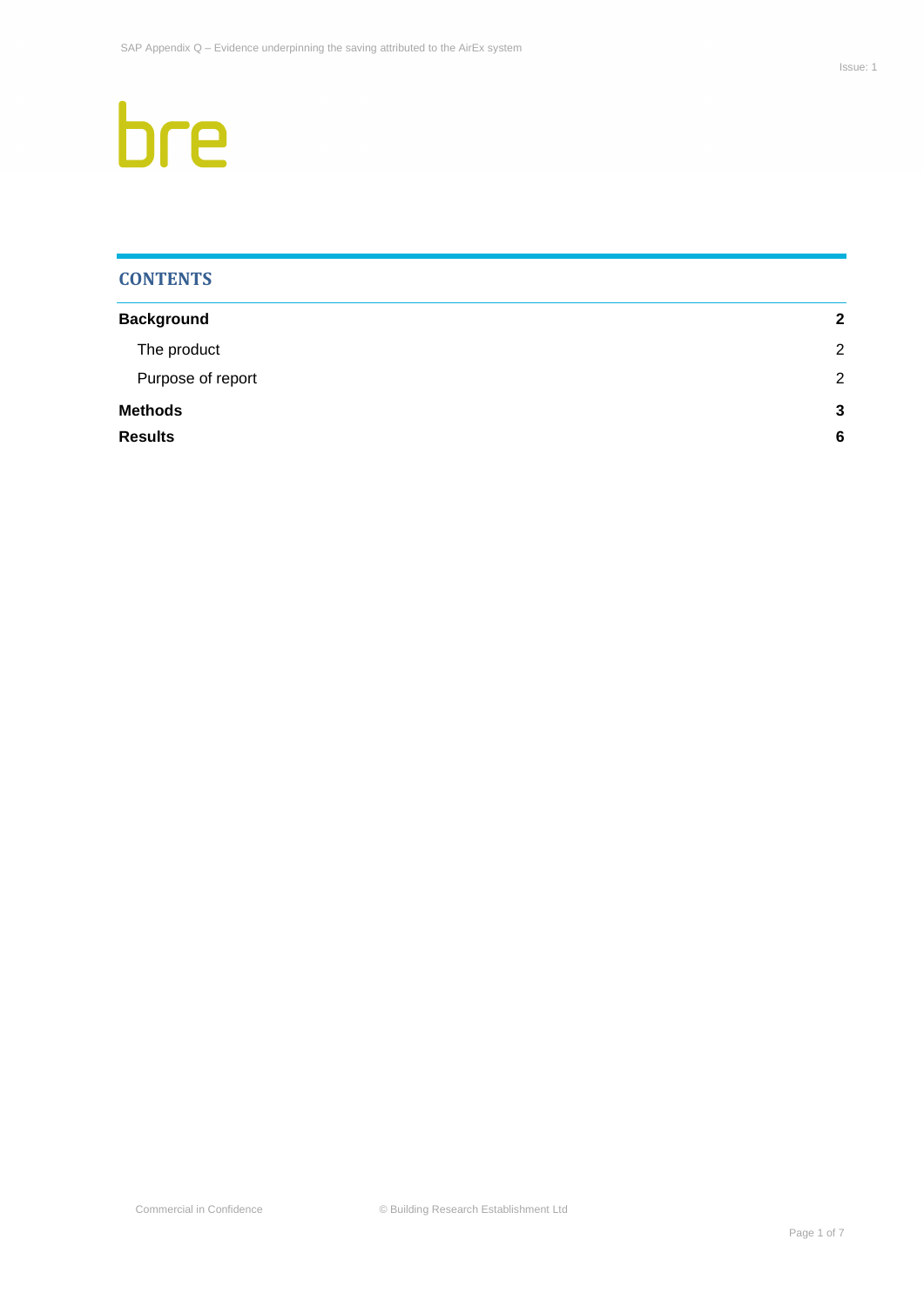# bre

## **CONTENTS**

| <b>Background</b> | $\mathbf{2}$ |
|-------------------|--------------|
| The product       | 2            |
| Purpose of report | 2            |
| <b>Methods</b>    | 3            |
| <b>Results</b>    | 6            |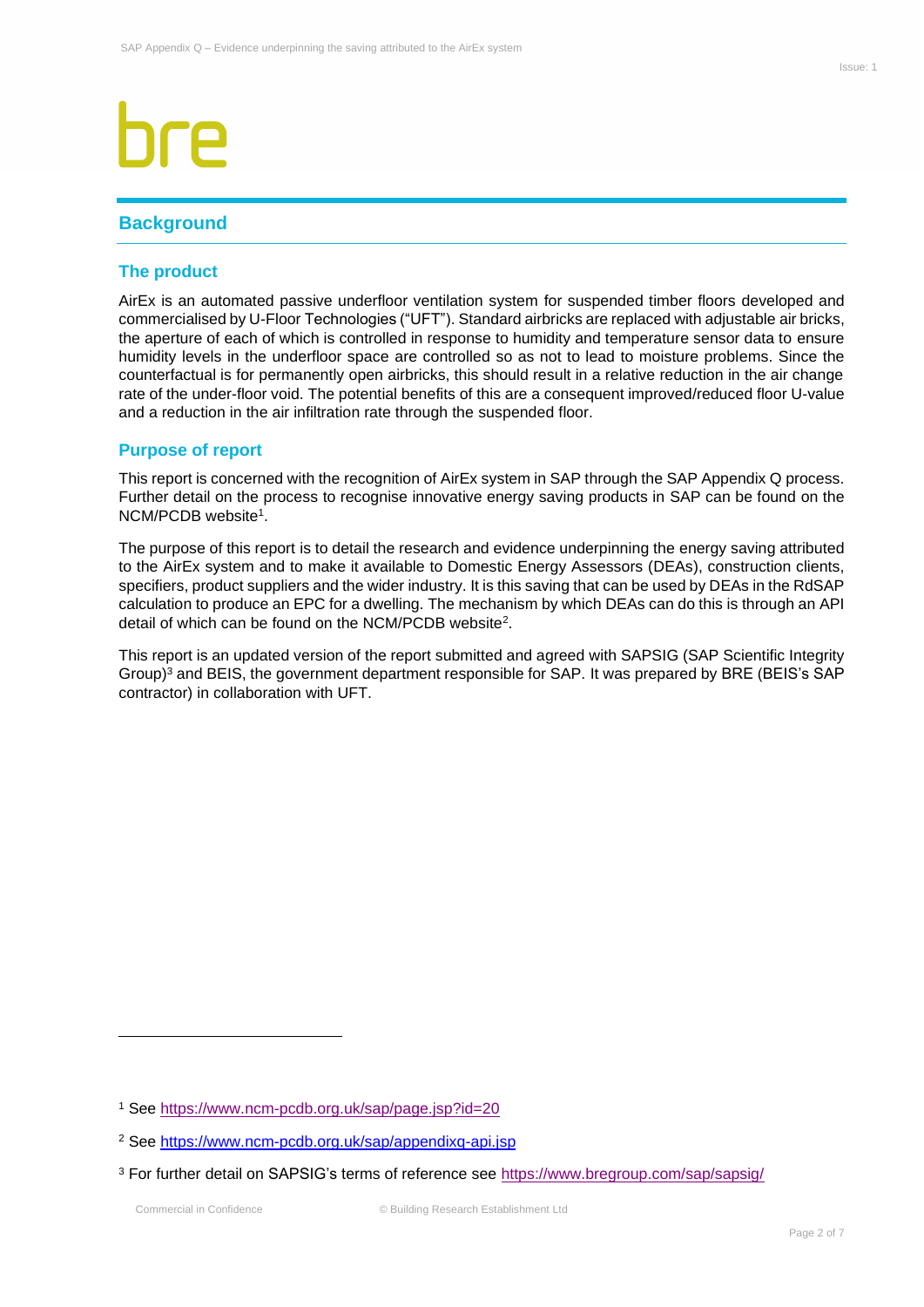## <span id="page-2-0"></span>**Background**

### <span id="page-2-1"></span>**The product**

AirEx is an automated passive underfloor ventilation system for suspended timber floors developed and commercialised by U-Floor Technologies ("UFT"). Standard airbricks are replaced with adjustable air bricks, the aperture of each of which is controlled in response to humidity and temperature sensor data to ensure humidity levels in the underfloor space are controlled so as not to lead to moisture problems. Since the counterfactual is for permanently open airbricks, this should result in a relative reduction in the air change rate of the under-floor void. The potential benefits of this are a consequent improved/reduced floor U-value and a reduction in the air infiltration rate through the suspended floor.

### <span id="page-2-2"></span>**Purpose of report**

This report is concerned with the recognition of AirEx system in SAP through the SAP Appendix Q process. Further detail on the process to recognise innovative energy saving products in SAP can be found on the NCM/PCDB website<sup>1</sup> .

The purpose of this report is to detail the research and evidence underpinning the energy saving attributed to the AirEx system and to make it available to Domestic Energy Assessors (DEAs), construction clients, specifiers, product suppliers and the wider industry. It is this saving that can be used by DEAs in the RdSAP calculation to produce an EPC for a dwelling. The mechanism by which DEAs can do this is through an API detail of which can be found on the NCM/PCDB website<sup>2</sup>.

This report is an updated version of the report submitted and agreed with SAPSIG (SAP Scientific Integrity Group)<sup>3</sup> and BEIS, the government department responsible for SAP. It was prepared by BRE (BEIS's SAP contractor) in collaboration with UFT.

<sup>1</sup> See<https://www.ncm-pcdb.org.uk/sap/page.jsp?id=20>

<sup>2</sup> See <https://www.ncm-pcdb.org.uk/sap/appendixq-api.jsp>

<sup>&</sup>lt;sup>3</sup> For further detail on SAPSIG's terms of reference see<https://www.bregroup.com/sap/sapsig/>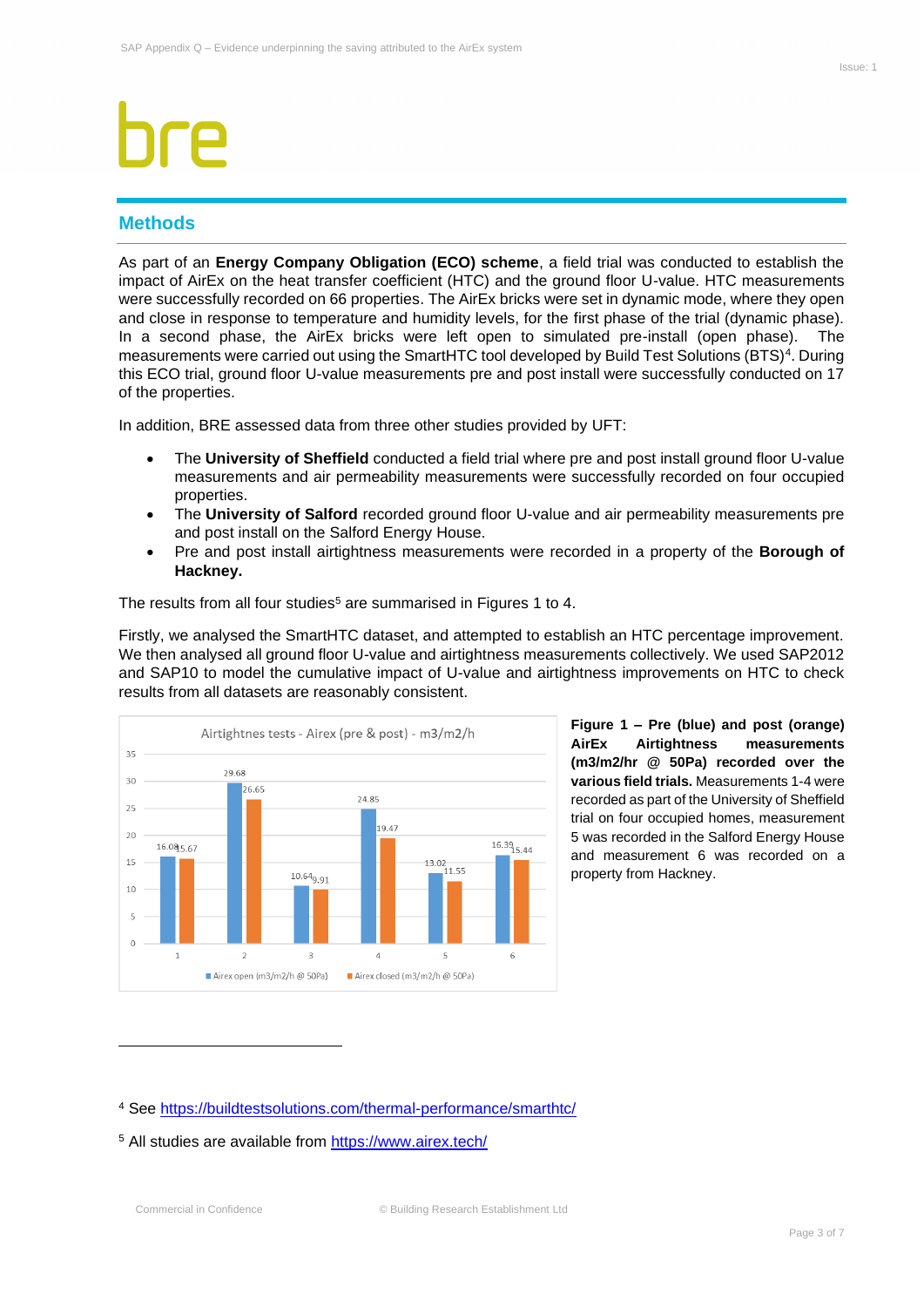## <span id="page-3-0"></span>**Methods**

As part of an **Energy Company Obligation (ECO) scheme**, a field trial was conducted to establish the impact of AirEx on the heat transfer coefficient (HTC) and the ground floor U-value. HTC measurements were successfully recorded on 66 properties. The AirEx bricks were set in dynamic mode, where they open and close in response to temperature and humidity levels, for the first phase of the trial (dynamic phase). In a second phase, the AirEx bricks were left open to simulated pre-install (open phase). The measurements were carried out using the SmartHTC tool developed by Build Test Solutions (BTS)<sup>4</sup>. During this ECO trial, ground floor U-value measurements pre and post install were successfully conducted on 17 of the properties.

In addition, BRE assessed data from three other studies provided by UFT:

- The **University of Sheffield** conducted a field trial where pre and post install ground floor U-value measurements and air permeability measurements were successfully recorded on four occupied properties.
- The **University of Salford** recorded ground floor U-value and air permeability measurements pre and post install on the Salford Energy House.
- Pre and post install airtightness measurements were recorded in a property of the **Borough of Hackney.**

The results from all four studies<sup>5</sup> are summarised in Figures 1 to 4.

Firstly, we analysed the SmartHTC dataset, and attempted to establish an HTC percentage improvement. We then analysed all ground floor U-value and airtightness measurements collectively. We used SAP2012 and SAP10 to model the cumulative impact of U-value and airtightness improvements on HTC to check results from all datasets are reasonably consistent.



**Figure 1 – Pre (blue) and post (orange) AirEx Airtightness measurements (m3/m2/hr @ 50Pa) recorded over the various field trials.** Measurements 1-4 were recorded as part of the University of Sheffield trial on four occupied homes, measurement 5 was recorded in the Salford Energy House and measurement 6 was recorded on a property from Hackney.

<sup>4</sup> See<https://buildtestsolutions.com/thermal-performance/smarthtc/>

<sup>5</sup> All studies are available from<https://www.airex.tech/>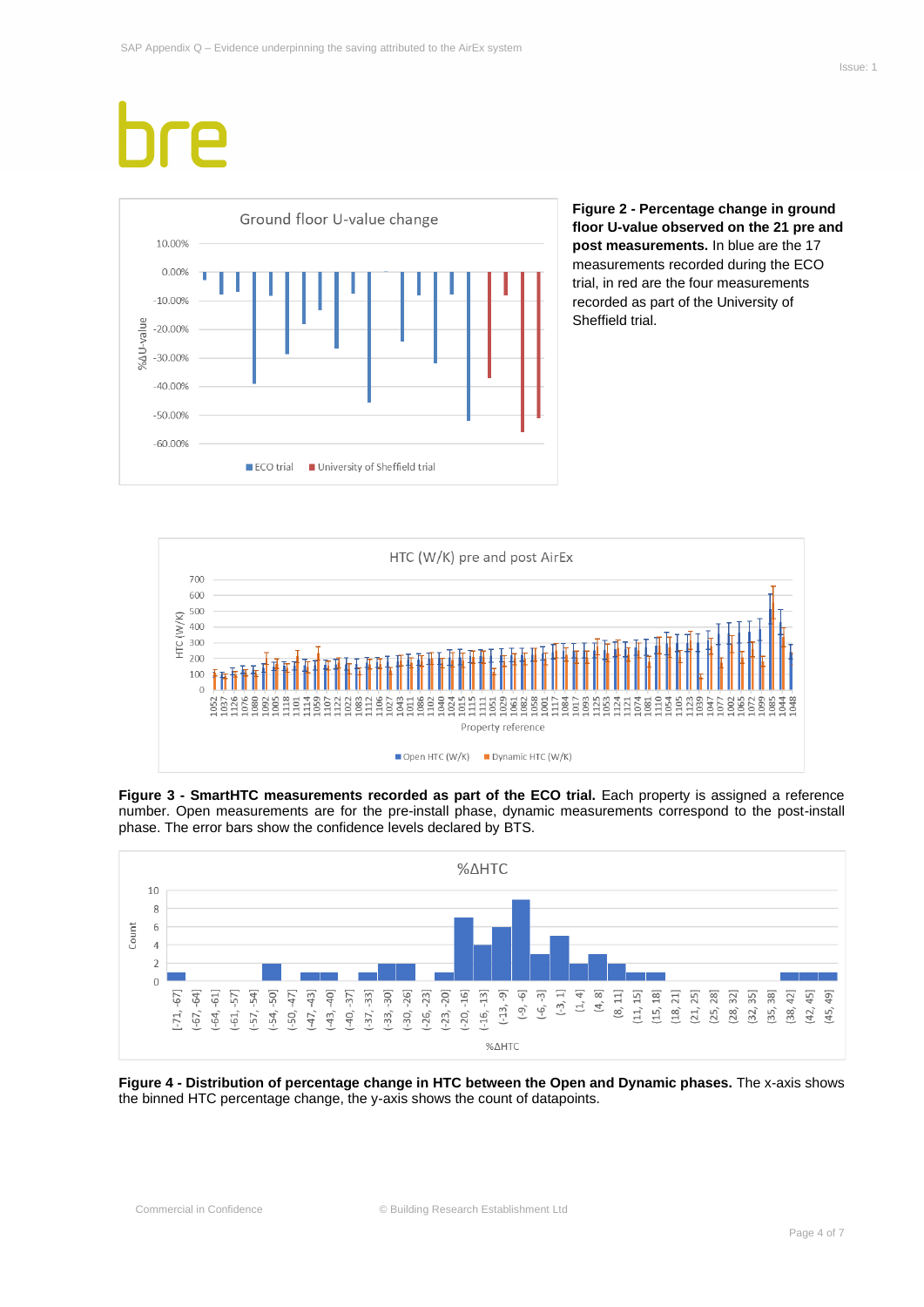

**Figure 2 - Percentage change in ground floor U-value observed on the 21 pre and post measurements.** In blue are the 17 measurements recorded during the ECO trial, in red are the four measurements recorded as part of the University of Sheffield trial.



**Figure 3 - SmartHTC measurements recorded as part of the ECO trial.** Each property is assigned a reference number. Open measurements are for the pre-install phase, dynamic measurements correspond to the post-install phase. The error bars show the confidence levels declared by BTS.



**Figure 4 - Distribution of percentage change in HTC between the Open and Dynamic phases.** The x-axis shows the binned HTC percentage change, the y-axis shows the count of datapoints.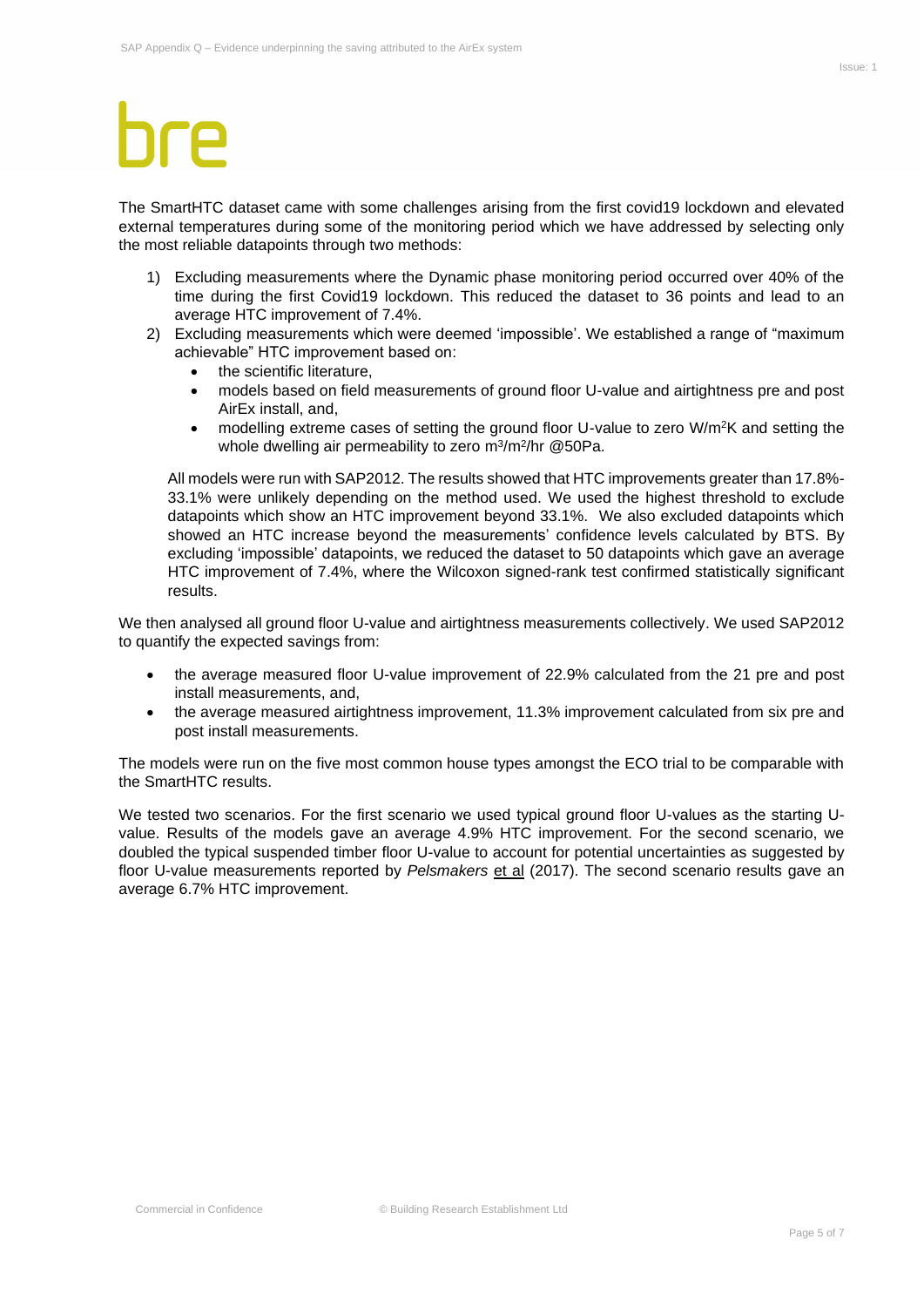The SmartHTC dataset came with some challenges arising from the first covid19 lockdown and elevated external temperatures during some of the monitoring period which we have addressed by selecting only the most reliable datapoints through two methods:

- 1) Excluding measurements where the Dynamic phase monitoring period occurred over 40% of the time during the first Covid19 lockdown. This reduced the dataset to 36 points and lead to an average HTC improvement of 7.4%.
- 2) Excluding measurements which were deemed 'impossible'. We established a range of "maximum achievable" HTC improvement based on:
	- the scientific literature,
	- models based on field measurements of ground floor U-value and airtightness pre and post AirEx install, and,
	- modelling extreme cases of setting the ground floor U-value to zero W/m<sup>2</sup>K and setting the whole dwelling air permeability to zero m<sup>3</sup>/m<sup>2</sup>/hr @50Pa.

All models were run with SAP2012. The results showed that HTC improvements greater than 17.8%- 33.1% were unlikely depending on the method used. We used the highest threshold to exclude datapoints which show an HTC improvement beyond 33.1%. We also excluded datapoints which showed an HTC increase beyond the measurements' confidence levels calculated by BTS. By excluding 'impossible' datapoints, we reduced the dataset to 50 datapoints which gave an average HTC improvement of 7.4%, where the Wilcoxon signed-rank test confirmed statistically significant results.

We then analysed all ground floor U-value and airtightness measurements collectively. We used SAP2012 to quantify the expected savings from:

- the average measured floor U-value improvement of 22.9% calculated from the 21 pre and post install measurements, and,
- the average measured airtightness improvement, 11.3% improvement calculated from six pre and post install measurements.

The models were run on the five most common house types amongst the ECO trial to be comparable with the SmartHTC results.

We tested two scenarios. For the first scenario we used typical ground floor U-values as the starting Uvalue. Results of the models gave an average 4.9% HTC improvement. For the second scenario, we doubled the typical suspended timber floor U-value to account for potential uncertainties as suggested by floor U-value measurements reported by *Pelsmakers* et al (2017). The second scenario results gave an average 6.7% HTC improvement.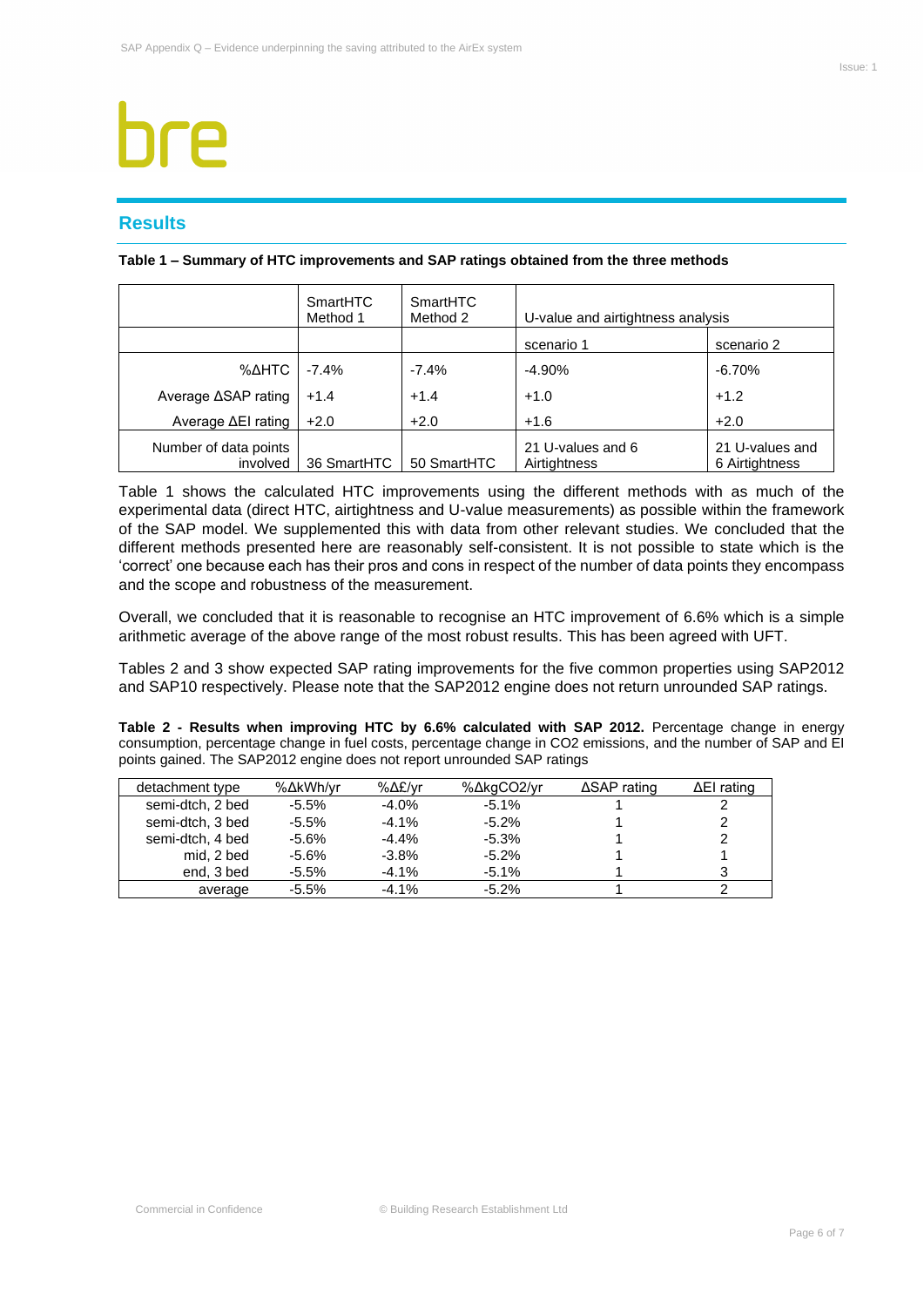## <span id="page-6-0"></span>**Results**

|  |  |  | Table 1 - Summary of HTC improvements and SAP ratings obtained from the three methods |
|--|--|--|---------------------------------------------------------------------------------------|
|--|--|--|---------------------------------------------------------------------------------------|

|                                   | SmartHTC<br>Method 1 | SmartHTC<br>Method 2 | U-value and airtightness analysis |                                   |
|-----------------------------------|----------------------|----------------------|-----------------------------------|-----------------------------------|
|                                   |                      |                      | scenario 1                        | scenario 2                        |
| %∆HTC                             | $-7.4\%$             | $-7.4%$              | $-4.90%$                          | $-6.70%$                          |
| Average ∆SAP rating               | $+1.4$               | $+1.4$               | $+1.0$                            | $+1.2$                            |
| Average $\Delta$ El rating        | $+2.0$               | $+2.0$               | $+1.6$                            | $+2.0$                            |
| Number of data points<br>involved | 36 SmartHTC          | 50 SmartHTC          | 21 U-values and 6<br>Airtightness | 21 U-values and<br>6 Airtightness |

Table 1 shows the calculated HTC improvements using the different methods with as much of the experimental data (direct HTC, airtightness and U-value measurements) as possible within the framework of the SAP model. We supplemented this with data from other relevant studies. We concluded that the different methods presented here are reasonably self-consistent. It is not possible to state which is the 'correct' one because each has their pros and cons in respect of the number of data points they encompass and the scope and robustness of the measurement.

Overall, we concluded that it is reasonable to recognise an HTC improvement of 6.6% which is a simple arithmetic average of the above range of the most robust results. This has been agreed with UFT.

Tables 2 and 3 show expected SAP rating improvements for the five common properties using SAP2012 and SAP10 respectively. Please note that the SAP2012 engine does not return unrounded SAP ratings.

**Table 2 - Results when improving HTC by 6.6% calculated with SAP 2012.** Percentage change in energy consumption, percentage change in fuel costs, percentage change in CO2 emissions, and the number of SAP and EI points gained. The SAP2012 engine does not report unrounded SAP ratings

| detachment type  | %∆kWh/vr | %∆£/vr  | %∆kgCO2/yr | $\triangle$ SAP rating | $\Delta$ El rating |
|------------------|----------|---------|------------|------------------------|--------------------|
| semi-dtch, 2 bed | $-5.5%$  | $-4.0%$ | $-5.1%$    |                        |                    |
| semi-dtch, 3 bed | $-5.5%$  | $-4.1%$ | $-5.2%$    |                        |                    |
| semi-dtch, 4 bed | $-5.6%$  | $-4.4%$ | $-5.3%$    |                        |                    |
| mid. 2 bed       | $-5.6%$  | $-3.8%$ | $-5.2\%$   |                        |                    |
| end, 3 bed       | $-5.5%$  | $-4.1%$ | $-5.1%$    |                        |                    |
| average          | $-5.5%$  | $-4.1%$ | $-5.2\%$   |                        |                    |